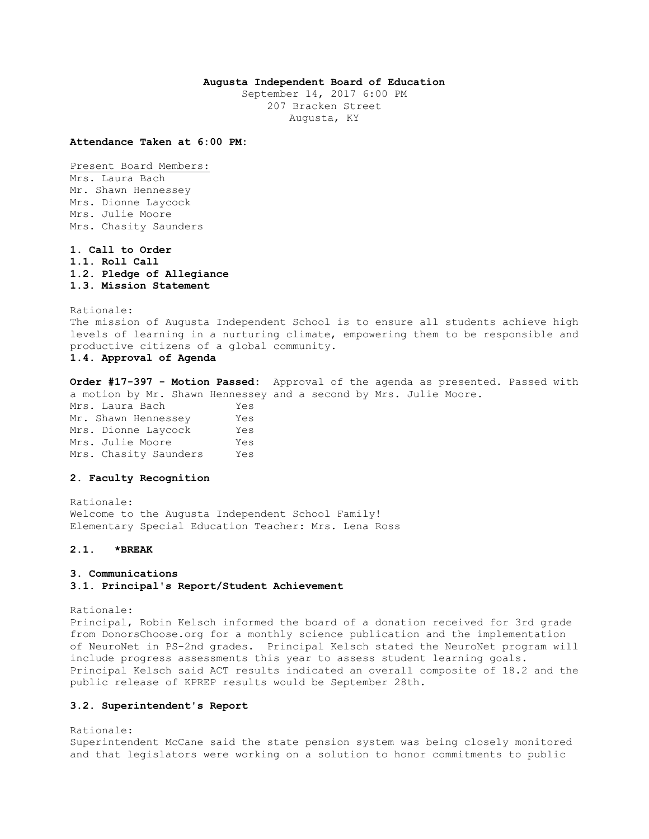### **Augusta Independent Board of Education**

September 14, 2017 6:00 PM 207 Bracken Street Augusta, KY

**Attendance Taken at 6:00 PM:**

Present Board Members: Mrs. Laura Bach

Mr. Shawn Hennessey Mrs. Dionne Laycock Mrs. Julie Moore Mrs. Chasity Saunders

**1. Call to Order 1.1. Roll Call 1.2. Pledge of Allegiance 1.3. Mission Statement** 

Rationale: The mission of Augusta Independent School is to ensure all students achieve high levels of learning in a nurturing climate, empowering them to be responsible and productive citizens of a global community. **1.4. Approval of Agenda** 

**Order #17-397 - Motion Passed:** Approval of the agenda as presented. Passed with a motion by Mr. Shawn Hennessey and a second by Mrs. Julie Moore. Mrs. Laura Bach Yes Mr. Shawn Hennessey Yes Mrs. Dionne Laycock Yes

Mrs. Julie Moore Yes Mrs. Chasity Saunders Yes

### **2. Faculty Recognition**

Rationale: Welcome to the Augusta Independent School Family! Elementary Special Education Teacher: Mrs. Lena Ross

### **2.1. \*BREAK**

#### **3. Communications**

#### **3.1. Principal's Report/Student Achievement**

Rationale:

Principal, Robin Kelsch informed the board of a donation received for 3rd grade from DonorsChoose.org for a monthly science publication and the implementation of NeuroNet in PS-2nd grades. Principal Kelsch stated the NeuroNet program will include progress assessments this year to assess student learning goals. Principal Kelsch said ACT results indicated an overall composite of 18.2 and the public release of KPREP results would be September 28th.

#### **3.2. Superintendent's Report**

#### Rationale:

Superintendent McCane said the state pension system was being closely monitored and that legislators were working on a solution to honor commitments to public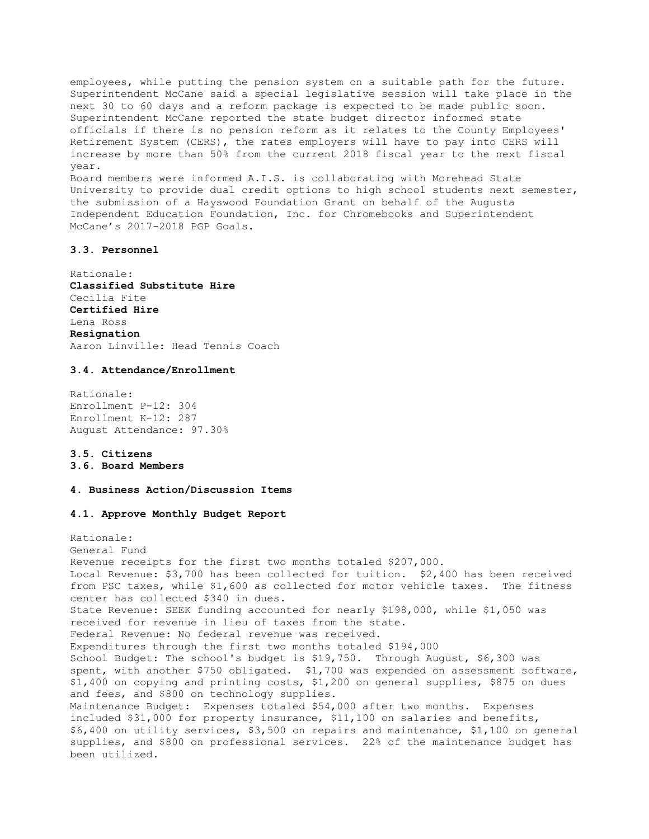employees, while putting the pension system on a suitable path for the future. Superintendent McCane said a special legislative session will take place in the next 30 to 60 days and a reform package is expected to be made public soon. Superintendent McCane reported the state budget director informed state officials if there is no pension reform as it relates to the County Employees' Retirement System (CERS), the rates employers will have to pay into CERS will increase by more than 50% from the current 2018 fiscal year to the next fiscal year. Board members were informed A.I.S. is collaborating with Morehead State

University to provide dual credit options to high school students next semester, the submission of a Hayswood Foundation Grant on behalf of the Augusta Independent Education Foundation, Inc. for Chromebooks and Superintendent McCane's 2017-2018 PGP Goals.

# **3.3. Personnel**

Rationale: **Classified Substitute Hire** Cecilia Fite **Certified Hire** Lena Ross **Resignation** Aaron Linville: Head Tennis Coach

### **3.4. Attendance/Enrollment**

Rationale: Enrollment P-12: 304 Enrollment K-12: 287 August Attendance: 97.30%

# **3.5. Citizens**

**3.6. Board Members** 

### **4. Business Action/Discussion Items**

#### **4.1. Approve Monthly Budget Report**

Rationale: General Fund Revenue receipts for the first two months totaled \$207,000. Local Revenue: \$3,700 has been collected for tuition. \$2,400 has been received from PSC taxes, while \$1,600 as collected for motor vehicle taxes. The fitness center has collected \$340 in dues. State Revenue: SEEK funding accounted for nearly \$198,000, while \$1,050 was received for revenue in lieu of taxes from the state. Federal Revenue: No federal revenue was received. Expenditures through the first two months totaled \$194,000 School Budget: The school's budget is \$19,750. Through August, \$6,300 was spent, with another \$750 obligated. \$1,700 was expended on assessment software, \$1,400 on copying and printing costs, \$1,200 on general supplies, \$875 on dues and fees, and \$800 on technology supplies. Maintenance Budget: Expenses totaled \$54,000 after two months. Expenses included \$31,000 for property insurance, \$11,100 on salaries and benefits, \$6,400 on utility services, \$3,500 on repairs and maintenance, \$1,100 on general supplies, and \$800 on professional services. 22% of the maintenance budget has been utilized.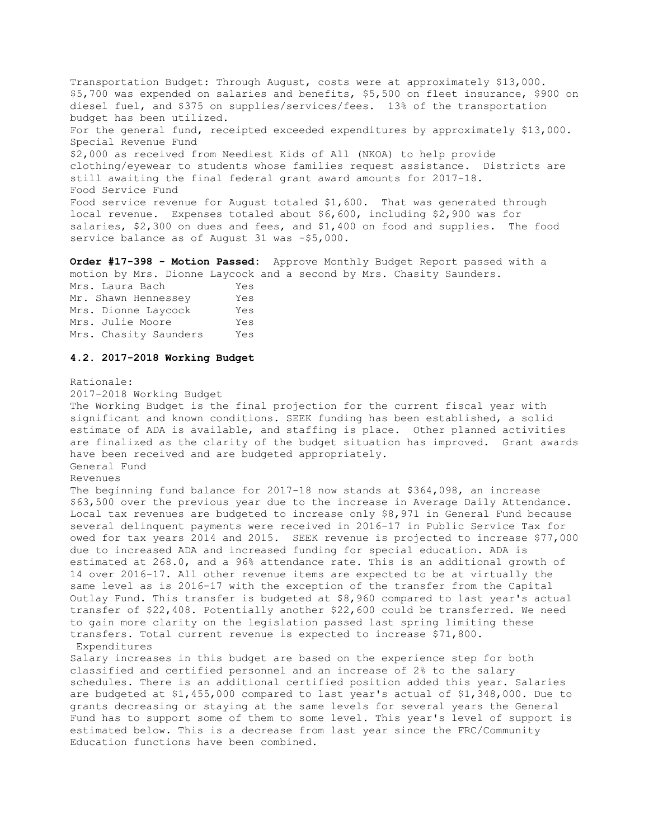Transportation Budget: Through August, costs were at approximately \$13,000. \$5,700 was expended on salaries and benefits, \$5,500 on fleet insurance, \$900 on diesel fuel, and \$375 on supplies/services/fees. 13% of the transportation budget has been utilized. For the general fund, receipted exceeded expenditures by approximately \$13,000. Special Revenue Fund \$2,000 as received from Neediest Kids of All (NKOA) to help provide clothing/eyewear to students whose families request assistance. Districts are still awaiting the final federal grant award amounts for 2017-18. Food Service Fund Food service revenue for August totaled \$1,600. That was generated through local revenue. Expenses totaled about \$6,600, including \$2,900 was for salaries, \$2,300 on dues and fees, and \$1,400 on food and supplies. The food service balance as of August 31 was -\$5,000.

**Order #17-398 - Motion Passed:** Approve Monthly Budget Report passed with a motion by Mrs. Dionne Laycock and a second by Mrs. Chasity Saunders.

Mrs. Laura Bach Yes Mr. Shawn Hennessey Yes Mrs. Dionne Laycock Yes Mrs. Julie Moore Yes Mrs. Chasity Saunders Yes

#### **4.2. 2017-2018 Working Budget**

#### Rationale:

2017-2018 Working Budget

The Working Budget is the final projection for the current fiscal year with significant and known conditions. SEEK funding has been established, a solid estimate of ADA is available, and staffing is place. Other planned activities are finalized as the clarity of the budget situation has improved. Grant awards have been received and are budgeted appropriately. General Fund Revenues

The beginning fund balance for 2017-18 now stands at \$364,098, an increase \$63,500 over the previous year due to the increase in Average Daily Attendance. Local tax revenues are budgeted to increase only \$8,971 in General Fund because several delinquent payments were received in 2016-17 in Public Service Tax for owed for tax years 2014 and 2015. SEEK revenue is projected to increase \$77,000 due to increased ADA and increased funding for special education. ADA is estimated at 268.0, and a 96% attendance rate. This is an additional growth of 14 over 2016-17. All other revenue items are expected to be at virtually the same level as is 2016-17 with the exception of the transfer from the Capital Outlay Fund. This transfer is budgeted at \$8,960 compared to last year's actual transfer of \$22,408. Potentially another \$22,600 could be transferred. We need to gain more clarity on the legislation passed last spring limiting these transfers. Total current revenue is expected to increase \$71,800. Expenditures

Salary increases in this budget are based on the experience step for both classified and certified personnel and an increase of 2% to the salary schedules. There is an additional certified position added this year. Salaries are budgeted at \$1,455,000 compared to last year's actual of \$1,348,000. Due to grants decreasing or staying at the same levels for several years the General Fund has to support some of them to some level. This year's level of support is estimated below. This is a decrease from last year since the FRC/Community Education functions have been combined.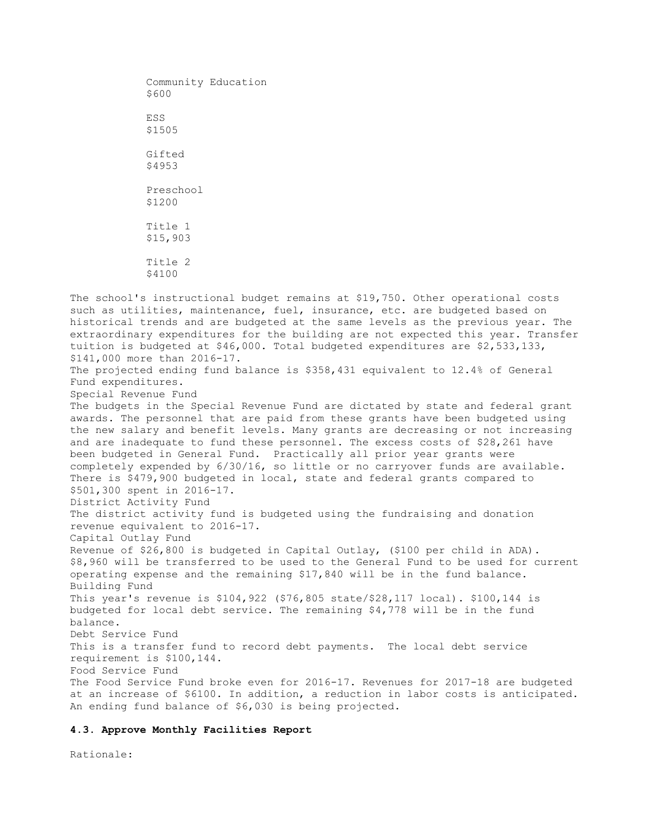Community Education \$600 ESS \$1505 Gifted \$4953 Preschool \$1200 Title 1 \$15,903 Title 2 \$4100

The school's instructional budget remains at \$19,750. Other operational costs such as utilities, maintenance, fuel, insurance, etc. are budgeted based on historical trends and are budgeted at the same levels as the previous year. The extraordinary expenditures for the building are not expected this year. Transfer tuition is budgeted at \$46,000. Total budgeted expenditures are \$2,533,133, \$141,000 more than 2016-17. The projected ending fund balance is \$358,431 equivalent to 12.4% of General Fund expenditures. Special Revenue Fund The budgets in the Special Revenue Fund are dictated by state and federal grant awards. The personnel that are paid from these grants have been budgeted using the new salary and benefit levels. Many grants are decreasing or not increasing and are inadequate to fund these personnel. The excess costs of \$28,261 have been budgeted in General Fund. Practically all prior year grants were completely expended by 6/30/16, so little or no carryover funds are available. There is \$479,900 budgeted in local, state and federal grants compared to \$501,300 spent in 2016-17. District Activity Fund The district activity fund is budgeted using the fundraising and donation revenue equivalent to 2016-17. Capital Outlay Fund Revenue of \$26,800 is budgeted in Capital Outlay, (\$100 per child in ADA). \$8,960 will be transferred to be used to the General Fund to be used for current operating expense and the remaining \$17,840 will be in the fund balance. Building Fund This year's revenue is \$104,922 (\$76,805 state/\$28,117 local). \$100,144 is budgeted for local debt service. The remaining \$4,778 will be in the fund balance. Debt Service Fund This is a transfer fund to record debt payments. The local debt service requirement is \$100,144. Food Service Fund The Food Service Fund broke even for 2016-17. Revenues for 2017-18 are budgeted at an increase of \$6100. In addition, a reduction in labor costs is anticipated. An ending fund balance of \$6,030 is being projected.

#### **4.3. Approve Monthly Facilities Report**

Rationale: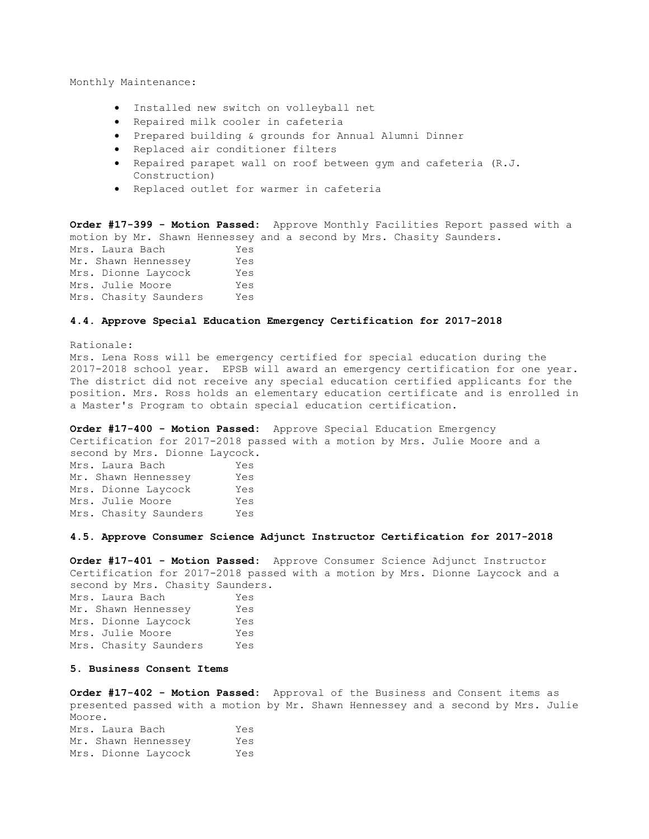Monthly Maintenance:

- Installed new switch on volleyball net
- Repaired milk cooler in cafeteria
- Prepared building & grounds for Annual Alumni Dinner
- Replaced air conditioner filters
- Repaired parapet wall on roof between gym and cafeteria (R.J. Construction)
- Replaced outlet for warmer in cafeteria

**Order #17-399 - Motion Passed:** Approve Monthly Facilities Report passed with a motion by Mr. Shawn Hennessey and a second by Mrs. Chasity Saunders.

| Mrs. Laura Bach       | Yes |
|-----------------------|-----|
| Mr. Shawn Hennessey   | Yes |
| Mrs. Dionne Laycock   | Yes |
| Mrs. Julie Moore      | Yes |
| Mrs. Chasity Saunders | Yes |

### **4.4. Approve Special Education Emergency Certification for 2017-2018**

Rationale: Mrs. Lena Ross will be emergency certified for special education during the 2017-2018 school year. EPSB will award an emergency certification for one year. The district did not receive any special education certified applicants for the position. Mrs. Ross holds an elementary education certificate and is enrolled in a Master's Program to obtain special education certification.

**Order #17-400 - Motion Passed:** Approve Special Education Emergency Certification for 2017-2018 passed with a motion by Mrs. Julie Moore and a second by Mrs. Dionne Laycock.

Mrs. Laura Bach Yes Mr. Shawn Hennessey Yes Mrs. Dionne Laycock Yes Mrs. Julie Moore Yes Mrs. Chasity Saunders Yes

#### **4.5. Approve Consumer Science Adjunct Instructor Certification for 2017-2018**

**Order #17-401 - Motion Passed:** Approve Consumer Science Adjunct Instructor Certification for 2017-2018 passed with a motion by Mrs. Dionne Laycock and a second by Mrs. Chasity Saunders.

Mrs. Laura Bach Yes Mr. Shawn Hennessey Yes Mrs. Dionne Laycock Yes Mrs. Julie Moore Yes Mrs. Chasity Saunders Yes

## **5. Business Consent Items**

**Order #17-402 - Motion Passed:** Approval of the Business and Consent items as presented passed with a motion by Mr. Shawn Hennessey and a second by Mrs. Julie Moore. Mrs. Laura Bach Yes Mr. Shawn Hennessey Yes Mrs. Dionne Laycock Yes